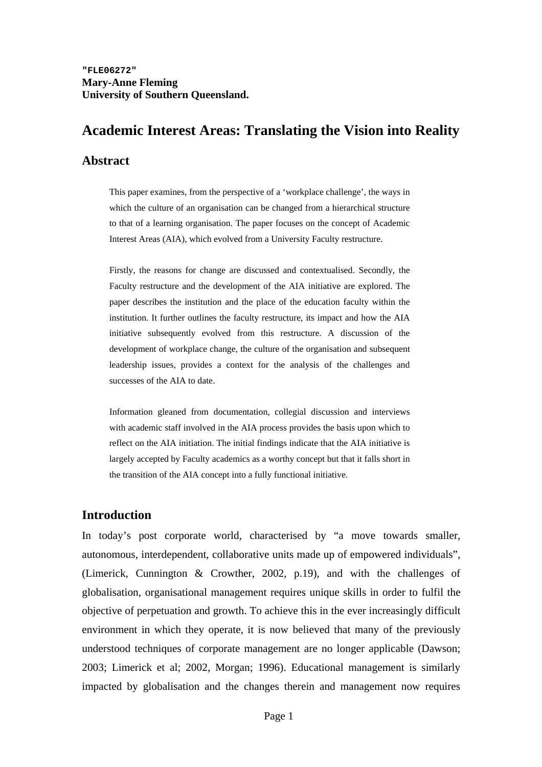# **Academic Interest Areas: Translating the Vision into Reality**

#### **Abstract**

This paper examines, from the perspective of a 'workplace challenge', the ways in which the culture of an organisation can be changed from a hierarchical structure to that of a learning organisation. The paper focuses on the concept of Academic Interest Areas (AIA), which evolved from a University Faculty restructure.

Firstly, the reasons for change are discussed and contextualised. Secondly, the Faculty restructure and the development of the AIA initiative are explored. The paper describes the institution and the place of the education faculty within the institution. It further outlines the faculty restructure, its impact and how the AIA initiative subsequently evolved from this restructure. A discussion of the development of workplace change, the culture of the organisation and subsequent leadership issues, provides a context for the analysis of the challenges and successes of the AIA to date.

Information gleaned from documentation, collegial discussion and interviews with academic staff involved in the AIA process provides the basis upon which to reflect on the AIA initiation. The initial findings indicate that the AIA initiative is largely accepted by Faculty academics as a worthy concept but that it falls short in the transition of the AIA concept into a fully functional initiative.

## **Introduction**

In today's post corporate world, characterised by "a move towards smaller, autonomous, interdependent, collaborative units made up of empowered individuals", (Limerick, Cunnington & Crowther, 2002, p.19), and with the challenges of globalisation, organisational management requires unique skills in order to fulfil the objective of perpetuation and growth. To achieve this in the ever increasingly difficult environment in which they operate, it is now believed that many of the previously understood techniques of corporate management are no longer applicable (Dawson; 2003; Limerick et al; 2002, Morgan; 1996). Educational management is similarly impacted by globalisation and the changes therein and management now requires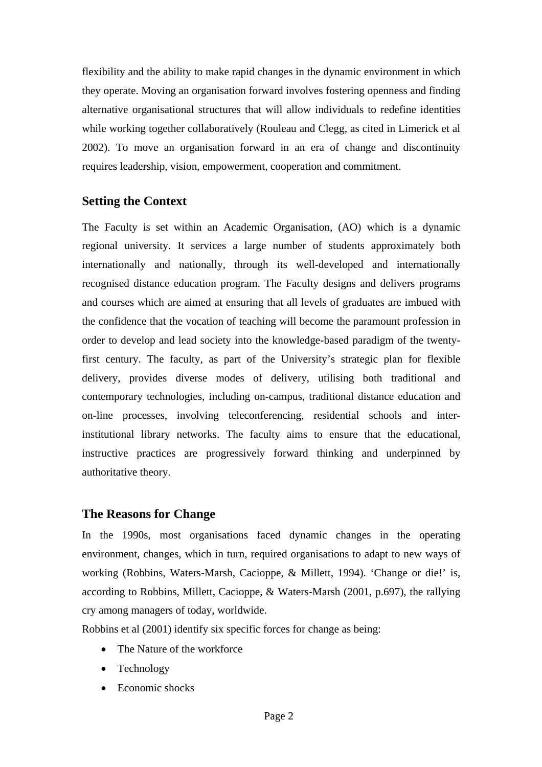flexibility and the ability to make rapid changes in the dynamic environment in which they operate. Moving an organisation forward involves fostering openness and finding alternative organisational structures that will allow individuals to redefine identities while working together collaboratively (Rouleau and Clegg, as cited in Limerick et al 2002). To move an organisation forward in an era of change and discontinuity requires leadership, vision, empowerment, cooperation and commitment.

# **Setting the Context**

The Faculty is set within an Academic Organisation, (AO) which is a dynamic regional university. It services a large number of students approximately both internationally and nationally, through its well-developed and internationally recognised distance education program. The Faculty designs and delivers programs and courses which are aimed at ensuring that all levels of graduates are imbued with the confidence that the vocation of teaching will become the paramount profession in order to develop and lead society into the knowledge-based paradigm of the twentyfirst century. The faculty, as part of the University's strategic plan for flexible delivery, provides diverse modes of delivery, utilising both traditional and contemporary technologies, including on-campus, traditional distance education and on-line processes, involving teleconferencing, residential schools and interinstitutional library networks. The faculty aims to ensure that the educational, instructive practices are progressively forward thinking and underpinned by authoritative theory.

# **The Reasons for Change**

In the 1990s, most organisations faced dynamic changes in the operating environment, changes, which in turn, required organisations to adapt to new ways of working (Robbins, Waters-Marsh, Cacioppe, & Millett, 1994). 'Change or die!' is, according to Robbins, Millett, Cacioppe, & Waters-Marsh (2001, p.697), the rallying cry among managers of today, worldwide.

Robbins et al (2001) identify six specific forces for change as being:

- The Nature of the workforce
- **Technology**
- Economic shocks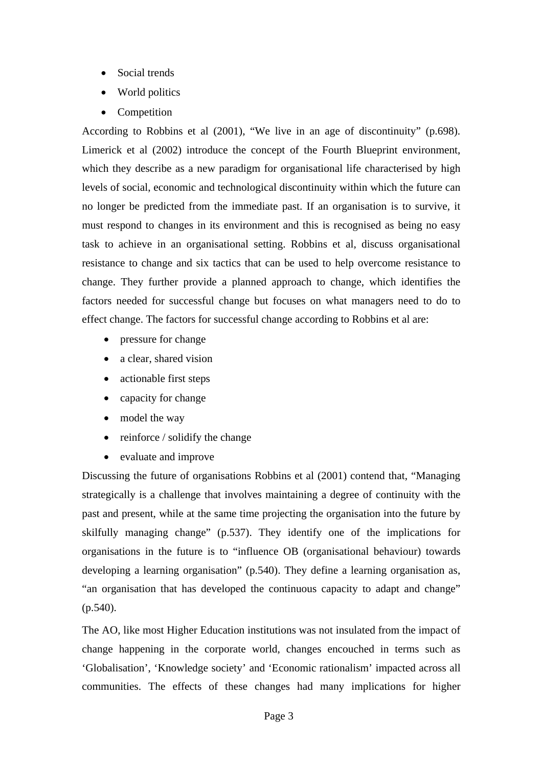- Social trends
- World politics
- Competition

According to Robbins et al (2001), "We live in an age of discontinuity" (p.698). Limerick et al (2002) introduce the concept of the Fourth Blueprint environment, which they describe as a new paradigm for organisational life characterised by high levels of social, economic and technological discontinuity within which the future can no longer be predicted from the immediate past. If an organisation is to survive, it must respond to changes in its environment and this is recognised as being no easy task to achieve in an organisational setting. Robbins et al, discuss organisational resistance to change and six tactics that can be used to help overcome resistance to change. They further provide a planned approach to change, which identifies the factors needed for successful change but focuses on what managers need to do to effect change. The factors for successful change according to Robbins et al are:

- pressure for change
- a clear, shared vision
- actionable first steps
- capacity for change
- model the way
- reinforce / solidify the change
- evaluate and improve

Discussing the future of organisations Robbins et al (2001) contend that, "Managing strategically is a challenge that involves maintaining a degree of continuity with the past and present, while at the same time projecting the organisation into the future by skilfully managing change" (p.537). They identify one of the implications for organisations in the future is to "influence OB (organisational behaviour) towards developing a learning organisation" (p.540). They define a learning organisation as, "an organisation that has developed the continuous capacity to adapt and change" (p.540).

The AO, like most Higher Education institutions was not insulated from the impact of change happening in the corporate world, changes encouched in terms such as 'Globalisation', 'Knowledge society' and 'Economic rationalism' impacted across all communities. The effects of these changes had many implications for higher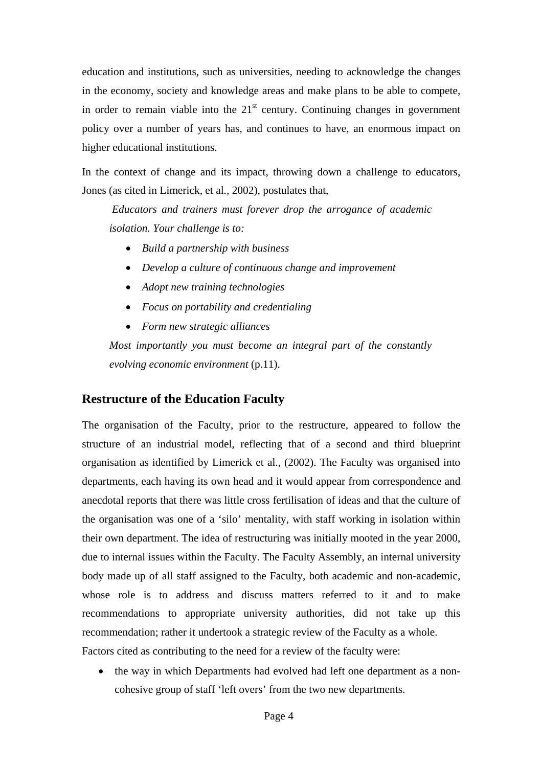education and institutions, such as universities, needing to acknowledge the changes in the economy, society and knowledge areas and make plans to be able to compete, in order to remain viable into the  $21<sup>st</sup>$  century. Continuing changes in government policy over a number of years has, and continues to have, an enormous impact on higher educational institutions.

In the context of change and its impact, throwing down a challenge to educators, Jones (as cited in Limerick, et al., 2002), postulates that,

*Educators and trainers must forever drop the arrogance of academic isolation. Your challenge is to:* 

- *Build a partnership with business*
- *Develop a culture of continuous change and improvement*
- *Adopt new training technologies*
- *Focus on portability and credentialing*
- *Form new strategic alliances*

*Most importantly you must become an integral part of the constantly evolving economic environment* (p.11).

## **Restructure of the Education Faculty**

The organisation of the Faculty, prior to the restructure, appeared to follow the structure of an industrial model, reflecting that of a second and third blueprint organisation as identified by Limerick et al., (2002). The Faculty was organised into departments, each having its own head and it would appear from correspondence and anecdotal reports that there was little cross fertilisation of ideas and that the culture of the organisation was one of a 'silo' mentality, with staff working in isolation within their own department. The idea of restructuring was initially mooted in the year 2000, due to internal issues within the Faculty. The Faculty Assembly, an internal university body made up of all staff assigned to the Faculty, both academic and non-academic, whose role is to address and discuss matters referred to it and to make recommendations to appropriate university authorities, did not take up this recommendation; rather it undertook a strategic review of the Faculty as a whole. Factors cited as contributing to the need for a review of the faculty were:

• the way in which Departments had evolved had left one department as a noncohesive group of staff 'left overs' from the two new departments.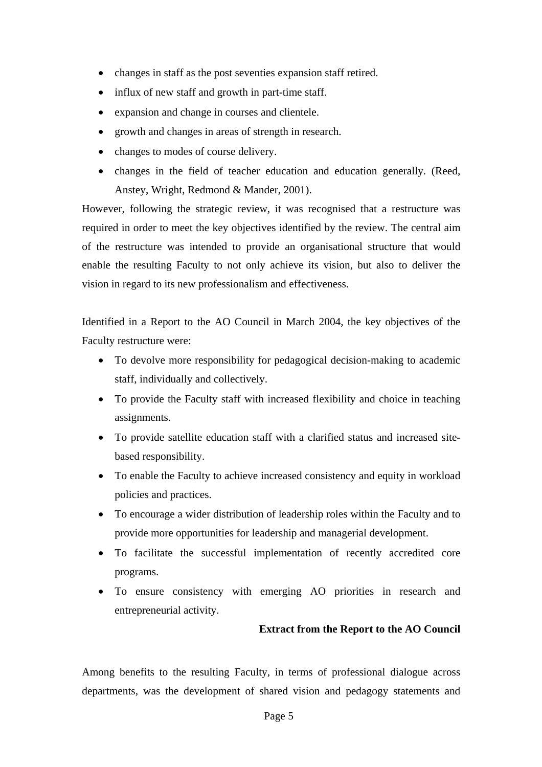- changes in staff as the post seventies expansion staff retired.
- influx of new staff and growth in part-time staff.
- expansion and change in courses and clientele.
- growth and changes in areas of strength in research.
- changes to modes of course delivery.
- changes in the field of teacher education and education generally. (Reed, Anstey, Wright, Redmond & Mander, 2001).

However, following the strategic review, it was recognised that a restructure was required in order to meet the key objectives identified by the review. The central aim of the restructure was intended to provide an organisational structure that would enable the resulting Faculty to not only achieve its vision, but also to deliver the vision in regard to its new professionalism and effectiveness.

Identified in a Report to the AO Council in March 2004, the key objectives of the Faculty restructure were:

- To devolve more responsibility for pedagogical decision-making to academic staff, individually and collectively.
- To provide the Faculty staff with increased flexibility and choice in teaching assignments.
- To provide satellite education staff with a clarified status and increased sitebased responsibility.
- To enable the Faculty to achieve increased consistency and equity in workload policies and practices.
- To encourage a wider distribution of leadership roles within the Faculty and to provide more opportunities for leadership and managerial development.
- To facilitate the successful implementation of recently accredited core programs.
- To ensure consistency with emerging AO priorities in research and entrepreneurial activity.

## **Extract from the Report to the AO Council**

Among benefits to the resulting Faculty, in terms of professional dialogue across departments, was the development of shared vision and pedagogy statements and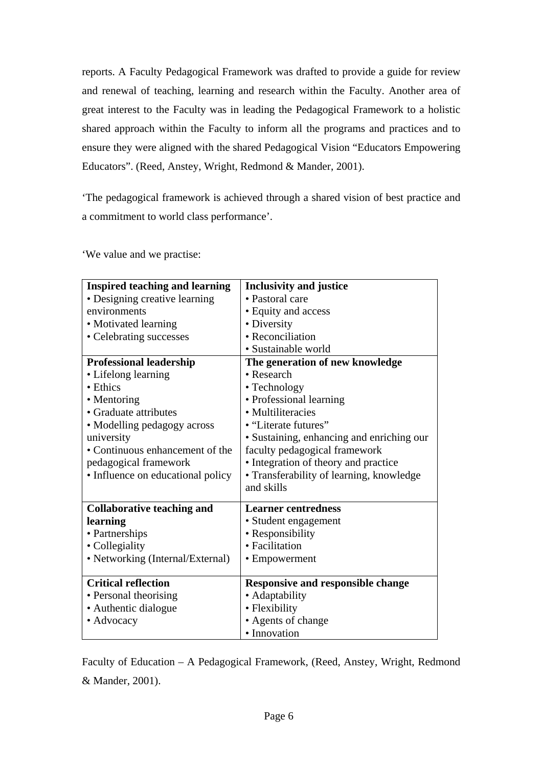reports. A Faculty Pedagogical Framework was drafted to provide a guide for review and renewal of teaching, learning and research within the Faculty. Another area of great interest to the Faculty was in leading the Pedagogical Framework to a holistic shared approach within the Faculty to inform all the programs and practices and to ensure they were aligned with the shared Pedagogical Vision "Educators Empowering Educators". (Reed, Anstey, Wright, Redmond & Mander, 2001).

'The pedagogical framework is achieved through a shared vision of best practice and a commitment to world class performance'.

'We value and we practise:

| <b>Inspired teaching and learning</b> | <b>Inclusivity and justice</b>            |
|---------------------------------------|-------------------------------------------|
| • Designing creative learning         | • Pastoral care                           |
| environments                          | • Equity and access                       |
| • Motivated learning                  | • Diversity                               |
| • Celebrating successes               | • Reconciliation                          |
|                                       | • Sustainable world                       |
| <b>Professional leadership</b>        | The generation of new knowledge           |
| • Lifelong learning                   | • Research                                |
| • Ethics                              | • Technology                              |
| • Mentoring                           | • Professional learning                   |
| • Graduate attributes                 | • Multiliteracies                         |
| • Modelling pedagogy across           | • "Literate futures"                      |
| university                            | · Sustaining, enhancing and enriching our |
| • Continuous enhancement of the       | faculty pedagogical framework             |
| pedagogical framework                 | • Integration of theory and practice      |
| • Influence on educational policy     | • Transferability of learning, knowledge  |
|                                       | and skills                                |
| <b>Collaborative teaching and</b>     | <b>Learner centredness</b>                |
| learning                              | · Student engagement                      |
| • Partnerships                        | • Responsibility                          |
| • Collegiality                        | • Facilitation                            |
| • Networking (Internal/External)      | • Empowerment                             |
|                                       |                                           |
| <b>Critical reflection</b>            | <b>Responsive and responsible change</b>  |
| • Personal theorising                 | • Adaptability                            |
| • Authentic dialogue                  | • Flexibility                             |
| • Advocacy                            | • Agents of change                        |
|                                       | · Innovation                              |

Faculty of Education – A Pedagogical Framework, (Reed, Anstey, Wright, Redmond & Mander, 2001).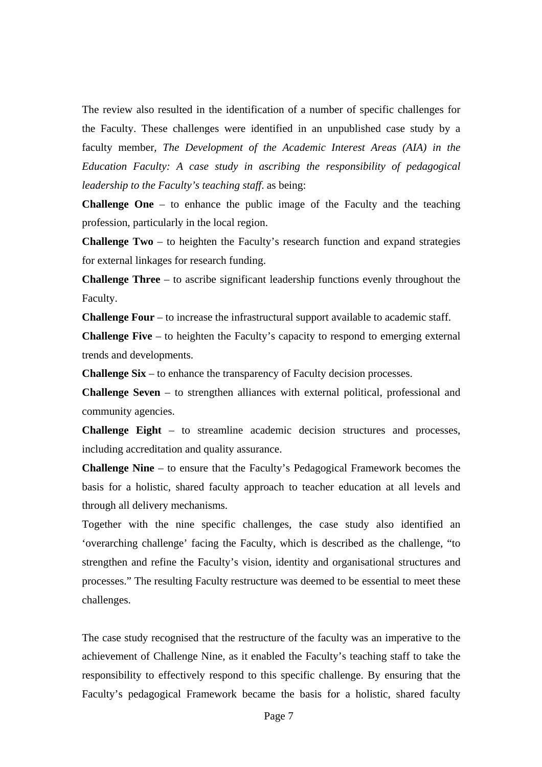The review also resulted in the identification of a number of specific challenges for the Faculty. These challenges were identified in an unpublished case study by a faculty member, *The Development of the Academic Interest Areas (AIA) in the Education Faculty: A case study in ascribing the responsibility of pedagogical leadership to the Faculty's teaching staff*. as being:

**Challenge One** – to enhance the public image of the Faculty and the teaching profession, particularly in the local region.

**Challenge Two** – to heighten the Faculty's research function and expand strategies for external linkages for research funding.

**Challenge Three** – to ascribe significant leadership functions evenly throughout the Faculty.

**Challenge Four** – to increase the infrastructural support available to academic staff.

**Challenge Five** – to heighten the Faculty's capacity to respond to emerging external trends and developments.

**Challenge Six** – to enhance the transparency of Faculty decision processes.

**Challenge Seven** – to strengthen alliances with external political, professional and community agencies.

**Challenge Eight** – to streamline academic decision structures and processes, including accreditation and quality assurance.

**Challenge Nine** – to ensure that the Faculty's Pedagogical Framework becomes the basis for a holistic, shared faculty approach to teacher education at all levels and through all delivery mechanisms.

Together with the nine specific challenges, the case study also identified an 'overarching challenge' facing the Faculty, which is described as the challenge, "to strengthen and refine the Faculty's vision, identity and organisational structures and processes." The resulting Faculty restructure was deemed to be essential to meet these challenges.

The case study recognised that the restructure of the faculty was an imperative to the achievement of Challenge Nine, as it enabled the Faculty's teaching staff to take the responsibility to effectively respond to this specific challenge. By ensuring that the Faculty's pedagogical Framework became the basis for a holistic, shared faculty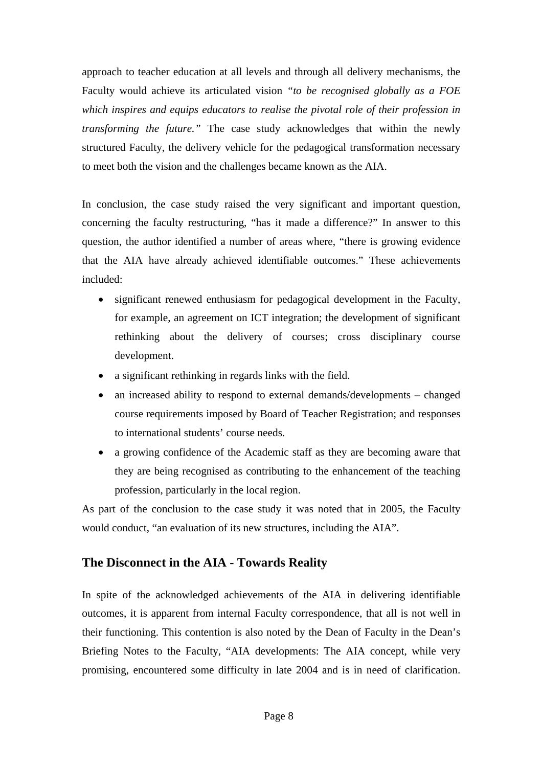approach to teacher education at all levels and through all delivery mechanisms, the Faculty would achieve its articulated vision *"to be recognised globally as a FOE which inspires and equips educators to realise the pivotal role of their profession in transforming the future."* The case study acknowledges that within the newly structured Faculty, the delivery vehicle for the pedagogical transformation necessary to meet both the vision and the challenges became known as the AIA.

In conclusion, the case study raised the very significant and important question, concerning the faculty restructuring, "has it made a difference?" In answer to this question, the author identified a number of areas where, "there is growing evidence that the AIA have already achieved identifiable outcomes." These achievements included:

- significant renewed enthusiasm for pedagogical development in the Faculty, for example, an agreement on ICT integration; the development of significant rethinking about the delivery of courses; cross disciplinary course development.
- a significant rethinking in regards links with the field.
- an increased ability to respond to external demands/developments changed course requirements imposed by Board of Teacher Registration; and responses to international students' course needs.
- a growing confidence of the Academic staff as they are becoming aware that they are being recognised as contributing to the enhancement of the teaching profession, particularly in the local region.

As part of the conclusion to the case study it was noted that in 2005, the Faculty would conduct, "an evaluation of its new structures, including the AIA".

# **The Disconnect in the AIA - Towards Reality**

In spite of the acknowledged achievements of the AIA in delivering identifiable outcomes, it is apparent from internal Faculty correspondence, that all is not well in their functioning. This contention is also noted by the Dean of Faculty in the Dean's Briefing Notes to the Faculty, "AIA developments: The AIA concept, while very promising, encountered some difficulty in late 2004 and is in need of clarification.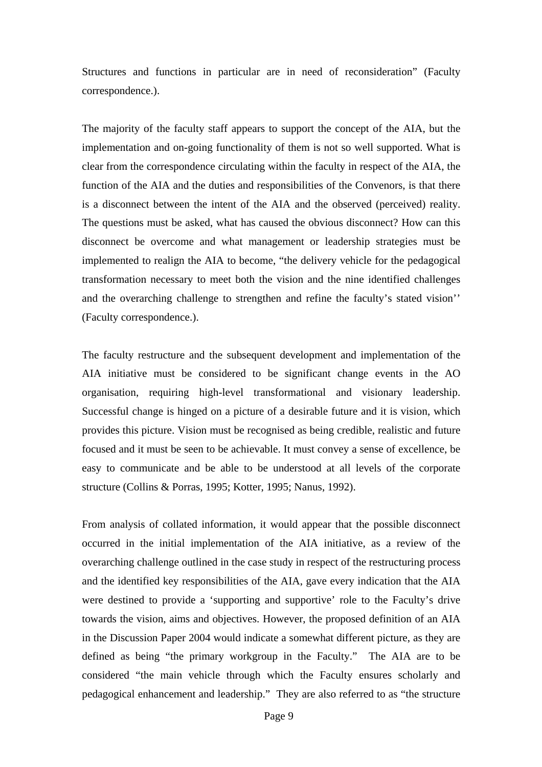Structures and functions in particular are in need of reconsideration" (Faculty correspondence.).

The majority of the faculty staff appears to support the concept of the AIA, but the implementation and on-going functionality of them is not so well supported. What is clear from the correspondence circulating within the faculty in respect of the AIA, the function of the AIA and the duties and responsibilities of the Convenors, is that there is a disconnect between the intent of the AIA and the observed (perceived) reality. The questions must be asked, what has caused the obvious disconnect? How can this disconnect be overcome and what management or leadership strategies must be implemented to realign the AIA to become, "the delivery vehicle for the pedagogical transformation necessary to meet both the vision and the nine identified challenges and the overarching challenge to strengthen and refine the faculty's stated vision'' (Faculty correspondence.).

The faculty restructure and the subsequent development and implementation of the AIA initiative must be considered to be significant change events in the AO organisation, requiring high-level transformational and visionary leadership. Successful change is hinged on a picture of a desirable future and it is vision, which provides this picture. Vision must be recognised as being credible, realistic and future focused and it must be seen to be achievable. It must convey a sense of excellence, be easy to communicate and be able to be understood at all levels of the corporate structure (Collins & Porras, 1995; Kotter, 1995; Nanus, 1992).

From analysis of collated information, it would appear that the possible disconnect occurred in the initial implementation of the AIA initiative, as a review of the overarching challenge outlined in the case study in respect of the restructuring process and the identified key responsibilities of the AIA, gave every indication that the AIA were destined to provide a 'supporting and supportive' role to the Faculty's drive towards the vision, aims and objectives. However, the proposed definition of an AIA in the Discussion Paper 2004 would indicate a somewhat different picture, as they are defined as being "the primary workgroup in the Faculty." The AIA are to be considered "the main vehicle through which the Faculty ensures scholarly and pedagogical enhancement and leadership." They are also referred to as "the structure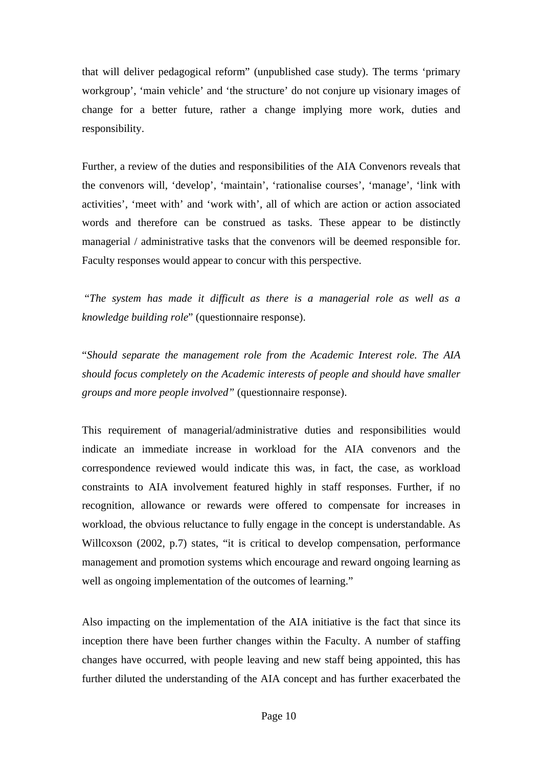that will deliver pedagogical reform" (unpublished case study). The terms 'primary workgroup', 'main vehicle' and 'the structure' do not conjure up visionary images of change for a better future, rather a change implying more work, duties and responsibility.

Further, a review of the duties and responsibilities of the AIA Convenors reveals that the convenors will, 'develop', 'maintain', 'rationalise courses', 'manage', 'link with activities', 'meet with' and 'work with', all of which are action or action associated words and therefore can be construed as tasks. These appear to be distinctly managerial / administrative tasks that the convenors will be deemed responsible for. Faculty responses would appear to concur with this perspective.

 "*The system has made it difficult as there is a managerial role as well as a knowledge building role*" (questionnaire response).

"*Should separate the management role from the Academic Interest role. The AIA should focus completely on the Academic interests of people and should have smaller groups and more people involved"* (questionnaire response).

This requirement of managerial/administrative duties and responsibilities would indicate an immediate increase in workload for the AIA convenors and the correspondence reviewed would indicate this was, in fact, the case, as workload constraints to AIA involvement featured highly in staff responses. Further, if no recognition, allowance or rewards were offered to compensate for increases in workload, the obvious reluctance to fully engage in the concept is understandable. As Willcoxson (2002, p.7) states, "it is critical to develop compensation, performance management and promotion systems which encourage and reward ongoing learning as well as ongoing implementation of the outcomes of learning."

Also impacting on the implementation of the AIA initiative is the fact that since its inception there have been further changes within the Faculty. A number of staffing changes have occurred, with people leaving and new staff being appointed, this has further diluted the understanding of the AIA concept and has further exacerbated the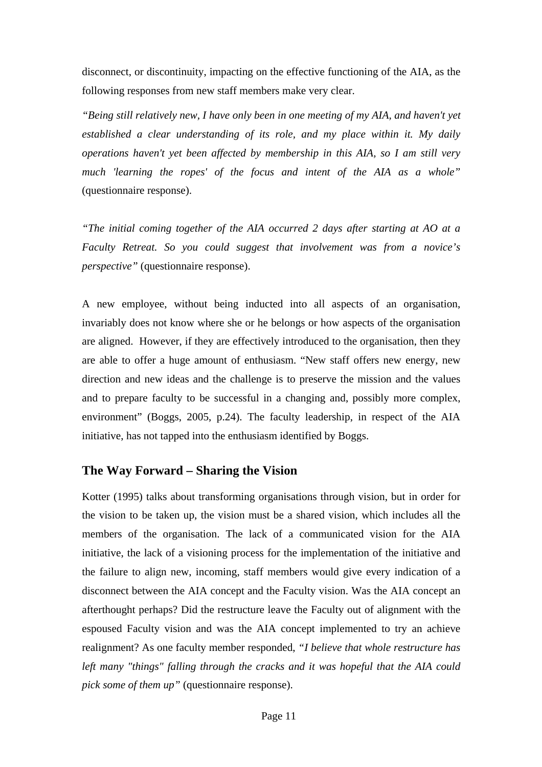disconnect, or discontinuity, impacting on the effective functioning of the AIA, as the following responses from new staff members make very clear.

*"Being still relatively new, I have only been in one meeting of my AIA, and haven't yet established a clear understanding of its role, and my place within it. My daily operations haven't yet been affected by membership in this AIA, so I am still very much 'learning the ropes' of the focus and intent of the AIA as a whole"* (questionnaire response).

*"The initial coming together of the AIA occurred 2 days after starting at AO at a Faculty Retreat. So you could suggest that involvement was from a novice's perspective"* (questionnaire response).

A new employee, without being inducted into all aspects of an organisation, invariably does not know where she or he belongs or how aspects of the organisation are aligned. However, if they are effectively introduced to the organisation, then they are able to offer a huge amount of enthusiasm. "New staff offers new energy, new direction and new ideas and the challenge is to preserve the mission and the values and to prepare faculty to be successful in a changing and, possibly more complex, environment" (Boggs, 2005, p.24). The faculty leadership, in respect of the AIA initiative, has not tapped into the enthusiasm identified by Boggs.

## **The Way Forward – Sharing the Vision**

Kotter (1995) talks about transforming organisations through vision, but in order for the vision to be taken up, the vision must be a shared vision, which includes all the members of the organisation. The lack of a communicated vision for the AIA initiative, the lack of a visioning process for the implementation of the initiative and the failure to align new, incoming, staff members would give every indication of a disconnect between the AIA concept and the Faculty vision. Was the AIA concept an afterthought perhaps? Did the restructure leave the Faculty out of alignment with the espoused Faculty vision and was the AIA concept implemented to try an achieve realignment? As one faculty member responded, *"I believe that whole restructure has left many "things" falling through the cracks and it was hopeful that the AIA could pick some of them up"* (questionnaire response).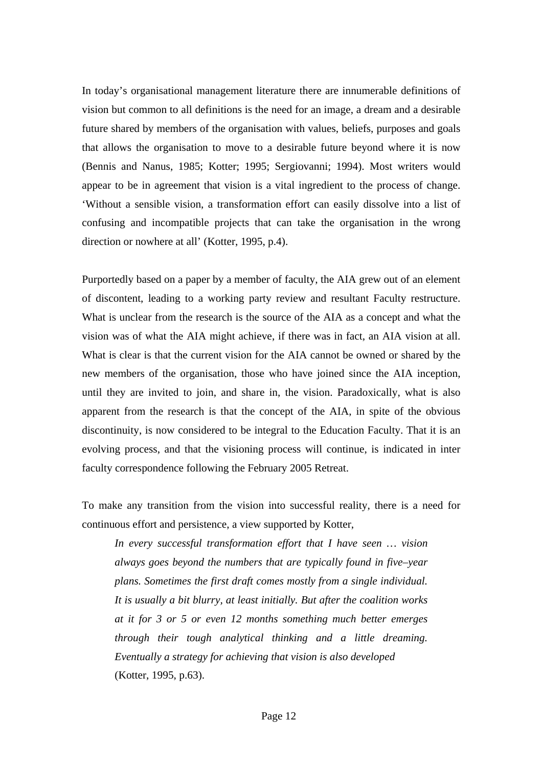In today's organisational management literature there are innumerable definitions of vision but common to all definitions is the need for an image, a dream and a desirable future shared by members of the organisation with values, beliefs, purposes and goals that allows the organisation to move to a desirable future beyond where it is now (Bennis and Nanus, 1985; Kotter; 1995; Sergiovanni; 1994). Most writers would appear to be in agreement that vision is a vital ingredient to the process of change. 'Without a sensible vision, a transformation effort can easily dissolve into a list of confusing and incompatible projects that can take the organisation in the wrong direction or nowhere at all' (Kotter, 1995, p.4).

Purportedly based on a paper by a member of faculty, the AIA grew out of an element of discontent, leading to a working party review and resultant Faculty restructure. What is unclear from the research is the source of the AIA as a concept and what the vision was of what the AIA might achieve, if there was in fact, an AIA vision at all. What is clear is that the current vision for the AIA cannot be owned or shared by the new members of the organisation, those who have joined since the AIA inception, until they are invited to join, and share in, the vision. Paradoxically, what is also apparent from the research is that the concept of the AIA, in spite of the obvious discontinuity, is now considered to be integral to the Education Faculty. That it is an evolving process, and that the visioning process will continue, is indicated in inter faculty correspondence following the February 2005 Retreat.

To make any transition from the vision into successful reality, there is a need for continuous effort and persistence, a view supported by Kotter,

*In every successful transformation effort that I have seen … vision always goes beyond the numbers that are typically found in five–year plans. Sometimes the first draft comes mostly from a single individual. It is usually a bit blurry, at least initially. But after the coalition works at it for 3 or 5 or even 12 months something much better emerges through their tough analytical thinking and a little dreaming. Eventually a strategy for achieving that vision is also developed* (Kotter, 1995, p.63).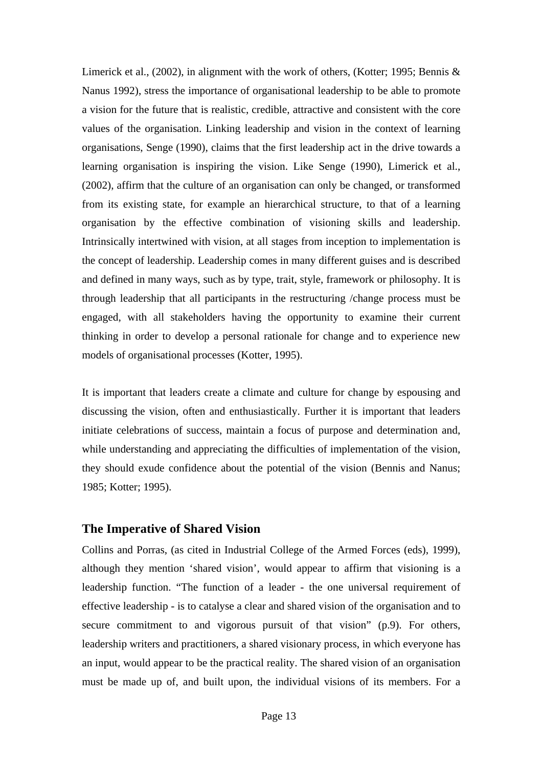Limerick et al., (2002), in alignment with the work of others, (Kotter; 1995; Bennis & Nanus 1992), stress the importance of organisational leadership to be able to promote a vision for the future that is realistic, credible, attractive and consistent with the core values of the organisation. Linking leadership and vision in the context of learning organisations, Senge (1990), claims that the first leadership act in the drive towards a learning organisation is inspiring the vision. Like Senge (1990), Limerick et al., (2002), affirm that the culture of an organisation can only be changed, or transformed from its existing state, for example an hierarchical structure, to that of a learning organisation by the effective combination of visioning skills and leadership. Intrinsically intertwined with vision, at all stages from inception to implementation is the concept of leadership. Leadership comes in many different guises and is described and defined in many ways, such as by type, trait, style, framework or philosophy. It is through leadership that all participants in the restructuring /change process must be engaged, with all stakeholders having the opportunity to examine their current thinking in order to develop a personal rationale for change and to experience new models of organisational processes (Kotter, 1995).

It is important that leaders create a climate and culture for change by espousing and discussing the vision, often and enthusiastically. Further it is important that leaders initiate celebrations of success, maintain a focus of purpose and determination and, while understanding and appreciating the difficulties of implementation of the vision, they should exude confidence about the potential of the vision (Bennis and Nanus; 1985; Kotter; 1995).

## **The Imperative of Shared Vision**

Collins and Porras, (as cited in Industrial College of the Armed Forces (eds), 1999), although they mention 'shared vision', would appear to affirm that visioning is a leadership function. "The function of a leader - the one universal requirement of effective leadership - is to catalyse a clear and shared vision of the organisation and to secure commitment to and vigorous pursuit of that vision" (p.9). For others, leadership writers and practitioners, a shared visionary process, in which everyone has an input, would appear to be the practical reality. The shared vision of an organisation must be made up of, and built upon, the individual visions of its members. For a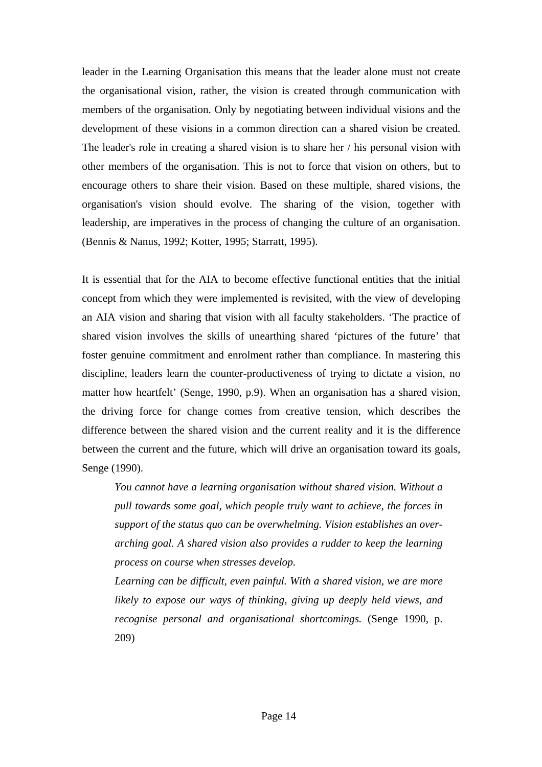leader in the Learning Organisation this means that the leader alone must not create the organisational vision, rather, the vision is created through communication with members of the organisation. Only by negotiating between individual visions and the development of these visions in a common direction can a shared vision be created. The leader's role in creating a shared vision is to share her / his personal vision with other members of the organisation. This is not to force that vision on others, but to encourage others to share their vision. Based on these multiple, shared visions, the organisation's vision should evolve. The sharing of the vision, together with leadership, are imperatives in the process of changing the culture of an organisation. (Bennis & Nanus, 1992; Kotter, 1995; Starratt, 1995).

It is essential that for the AIA to become effective functional entities that the initial concept from which they were implemented is revisited, with the view of developing an AIA vision and sharing that vision with all faculty stakeholders. 'The practice of shared vision involves the skills of unearthing shared 'pictures of the future' that foster genuine commitment and enrolment rather than compliance. In mastering this discipline, leaders learn the counter-productiveness of trying to dictate a vision, no matter how heartfelt' (Senge, 1990, p.9). When an organisation has a shared vision, the driving force for change comes from creative tension, which describes the difference between the shared vision and the current reality and it is the difference between the current and the future, which will drive an organisation toward its goals, Senge (1990).

*You cannot have a learning organisation without shared vision. Without a pull towards some goal, which people truly want to achieve, the forces in support of the status quo can be overwhelming. Vision establishes an overarching goal. A shared vision also provides a rudder to keep the learning process on course when stresses develop.* 

*Learning can be difficult, even painful. With a shared vision, we are more likely to expose our ways of thinking, giving up deeply held views, and recognise personal and organisational shortcomings.* (Senge 1990, p. 209)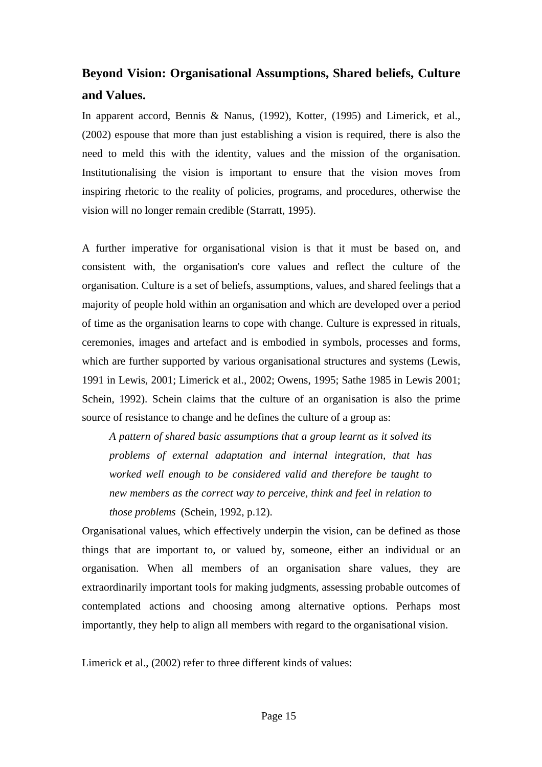# **Beyond Vision: Organisational Assumptions, Shared beliefs, Culture and Values.**

In apparent accord, Bennis & Nanus, (1992), Kotter, (1995) and Limerick, et al., (2002) espouse that more than just establishing a vision is required, there is also the need to meld this with the identity, values and the mission of the organisation. Institutionalising the vision is important to ensure that the vision moves from inspiring rhetoric to the reality of policies, programs, and procedures, otherwise the vision will no longer remain credible (Starratt, 1995).

A further imperative for organisational vision is that it must be based on, and consistent with, the organisation's core values and reflect the culture of the organisation. Culture is a set of beliefs, assumptions, values, and shared feelings that a majority of people hold within an organisation and which are developed over a period of time as the organisation learns to cope with change. Culture is expressed in rituals, ceremonies, images and artefact and is embodied in symbols, processes and forms, which are further supported by various organisational structures and systems (Lewis, 1991 in Lewis, 2001; Limerick et al., 2002; Owens, 1995; Sathe 1985 in Lewis 2001; Schein, 1992). Schein claims that the culture of an organisation is also the prime source of resistance to change and he defines the culture of a group as:

*A pattern of shared basic assumptions that a group learnt as it solved its problems of external adaptation and internal integration, that has worked well enough to be considered valid and therefore be taught to new members as the correct way to perceive, think and feel in relation to those problems* (Schein, 1992, p.12).

Organisational values, which effectively underpin the vision, can be defined as those things that are important to, or valued by, someone, either an individual or an organisation. When all members of an organisation share values, they are extraordinarily important tools for making judgments, assessing probable outcomes of contemplated actions and choosing among alternative options. Perhaps most importantly, they help to align all members with regard to the organisational vision.

Limerick et al., (2002) refer to three different kinds of values: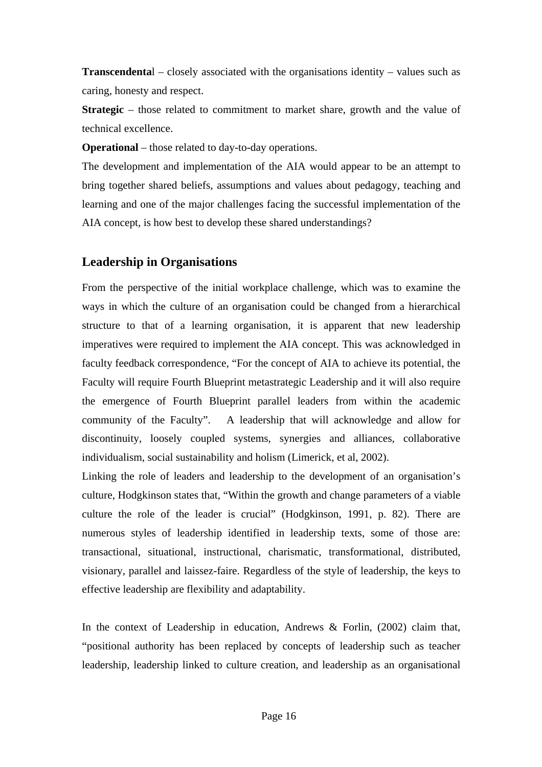**Transcendenta**l – closely associated with the organisations identity – values such as caring, honesty and respect.

**Strategic** – those related to commitment to market share, growth and the value of technical excellence.

**Operational** – those related to day-to-day operations.

The development and implementation of the AIA would appear to be an attempt to bring together shared beliefs, assumptions and values about pedagogy, teaching and learning and one of the major challenges facing the successful implementation of the AIA concept, is how best to develop these shared understandings?

# **Leadership in Organisations**

From the perspective of the initial workplace challenge, which was to examine the ways in which the culture of an organisation could be changed from a hierarchical structure to that of a learning organisation, it is apparent that new leadership imperatives were required to implement the AIA concept. This was acknowledged in faculty feedback correspondence, "For the concept of AIA to achieve its potential, the Faculty will require Fourth Blueprint metastrategic Leadership and it will also require the emergence of Fourth Blueprint parallel leaders from within the academic community of the Faculty". A leadership that will acknowledge and allow for discontinuity, loosely coupled systems, synergies and alliances, collaborative individualism, social sustainability and holism (Limerick, et al, 2002).

Linking the role of leaders and leadership to the development of an organisation's culture, Hodgkinson states that, "Within the growth and change parameters of a viable culture the role of the leader is crucial" (Hodgkinson, 1991, p. 82). There are numerous styles of leadership identified in leadership texts, some of those are: transactional, situational, instructional, charismatic, transformational, distributed, visionary, parallel and laissez-faire. Regardless of the style of leadership, the keys to effective leadership are flexibility and adaptability.

In the context of Leadership in education, Andrews & Forlin, (2002) claim that, "positional authority has been replaced by concepts of leadership such as teacher leadership, leadership linked to culture creation, and leadership as an organisational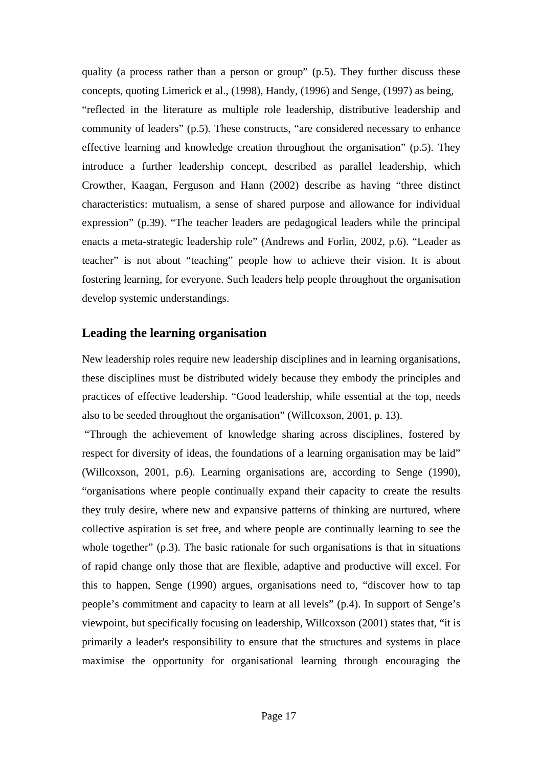quality (a process rather than a person or group" (p.5). They further discuss these concepts, quoting Limerick et al., (1998), Handy, (1996) and Senge, (1997) as being, "reflected in the literature as multiple role leadership, distributive leadership and community of leaders" (p.5). These constructs, "are considered necessary to enhance effective learning and knowledge creation throughout the organisation" (p.5). They introduce a further leadership concept, described as parallel leadership, which Crowther, Kaagan, Ferguson and Hann (2002) describe as having "three distinct characteristics: mutualism, a sense of shared purpose and allowance for individual expression" (p.39). "The teacher leaders are pedagogical leaders while the principal enacts a meta-strategic leadership role" (Andrews and Forlin, 2002, p.6). "Leader as teacher" is not about "teaching" people how to achieve their vision. It is about fostering learning, for everyone. Such leaders help people throughout the organisation develop systemic understandings.

## **Leading the learning organisation**

New leadership roles require new leadership disciplines and in learning organisations, these disciplines must be distributed widely because they embody the principles and practices of effective leadership. "Good leadership, while essential at the top, needs also to be seeded throughout the organisation" (Willcoxson, 2001, p. 13).

 "Through the achievement of knowledge sharing across disciplines, fostered by respect for diversity of ideas, the foundations of a learning organisation may be laid" (Willcoxson, 2001, p.6). Learning organisations are, according to Senge (1990), "organisations where people continually expand their capacity to create the results they truly desire, where new and expansive patterns of thinking are nurtured, where collective aspiration is set free, and where people are continually learning to see the whole together" (p.3). The basic rationale for such organisations is that in situations of rapid change only those that are flexible, adaptive and productive will excel. For this to happen, Senge (1990) argues, organisations need to, "discover how to tap people's commitment and capacity to learn at all levels" (p.4). In support of Senge's viewpoint, but specifically focusing on leadership, Willcoxson (2001) states that, "it is primarily a leader's responsibility to ensure that the structures and systems in place maximise the opportunity for organisational learning through encouraging the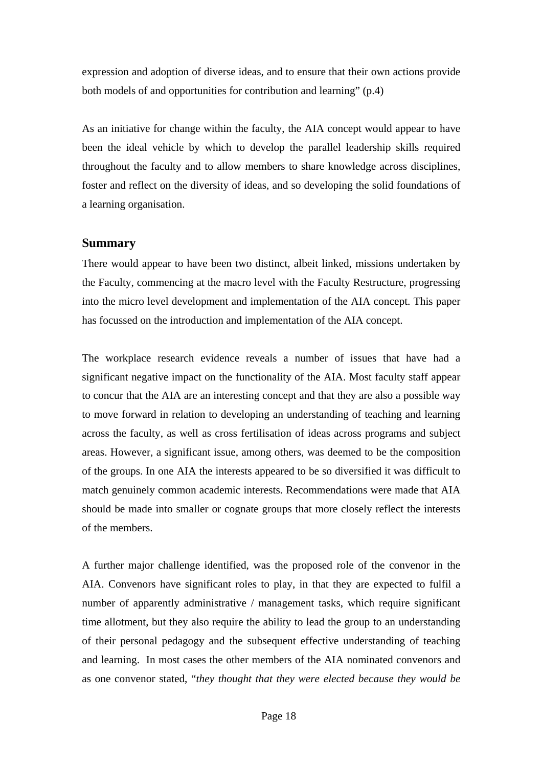expression and adoption of diverse ideas, and to ensure that their own actions provide both models of and opportunities for contribution and learning" (p.4)

As an initiative for change within the faculty, the AIA concept would appear to have been the ideal vehicle by which to develop the parallel leadership skills required throughout the faculty and to allow members to share knowledge across disciplines, foster and reflect on the diversity of ideas, and so developing the solid foundations of a learning organisation.

#### **Summary**

There would appear to have been two distinct, albeit linked, missions undertaken by the Faculty, commencing at the macro level with the Faculty Restructure, progressing into the micro level development and implementation of the AIA concept. This paper has focussed on the introduction and implementation of the AIA concept.

The workplace research evidence reveals a number of issues that have had a significant negative impact on the functionality of the AIA. Most faculty staff appear to concur that the AIA are an interesting concept and that they are also a possible way to move forward in relation to developing an understanding of teaching and learning across the faculty, as well as cross fertilisation of ideas across programs and subject areas. However, a significant issue, among others, was deemed to be the composition of the groups. In one AIA the interests appeared to be so diversified it was difficult to match genuinely common academic interests. Recommendations were made that AIA should be made into smaller or cognate groups that more closely reflect the interests of the members.

A further major challenge identified, was the proposed role of the convenor in the AIA. Convenors have significant roles to play, in that they are expected to fulfil a number of apparently administrative / management tasks, which require significant time allotment, but they also require the ability to lead the group to an understanding of their personal pedagogy and the subsequent effective understanding of teaching and learning. In most cases the other members of the AIA nominated convenors and as one convenor stated, "*they thought that they were elected because they would be*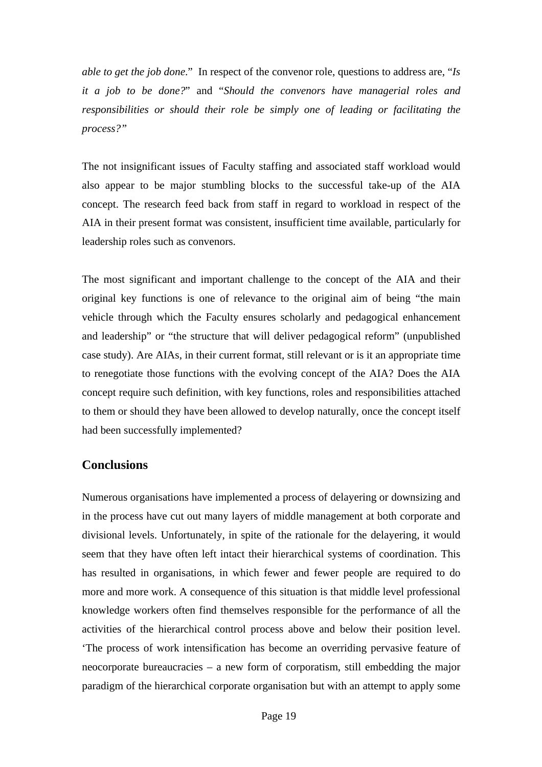*able to get the job done*." In respect of the convenor role, questions to address are, "*Is it a job to be done?*" and "*Should the convenors have managerial roles and responsibilities or should their role be simply one of leading or facilitating the process?"* 

The not insignificant issues of Faculty staffing and associated staff workload would also appear to be major stumbling blocks to the successful take-up of the AIA concept. The research feed back from staff in regard to workload in respect of the AIA in their present format was consistent, insufficient time available, particularly for leadership roles such as convenors.

The most significant and important challenge to the concept of the AIA and their original key functions is one of relevance to the original aim of being "the main vehicle through which the Faculty ensures scholarly and pedagogical enhancement and leadership" or "the structure that will deliver pedagogical reform" (unpublished case study). Are AIAs, in their current format, still relevant or is it an appropriate time to renegotiate those functions with the evolving concept of the AIA? Does the AIA concept require such definition, with key functions, roles and responsibilities attached to them or should they have been allowed to develop naturally, once the concept itself had been successfully implemented?

## **Conclusions**

Numerous organisations have implemented a process of delayering or downsizing and in the process have cut out many layers of middle management at both corporate and divisional levels. Unfortunately, in spite of the rationale for the delayering, it would seem that they have often left intact their hierarchical systems of coordination. This has resulted in organisations, in which fewer and fewer people are required to do more and more work. A consequence of this situation is that middle level professional knowledge workers often find themselves responsible for the performance of all the activities of the hierarchical control process above and below their position level. 'The process of work intensification has become an overriding pervasive feature of neocorporate bureaucracies – a new form of corporatism, still embedding the major paradigm of the hierarchical corporate organisation but with an attempt to apply some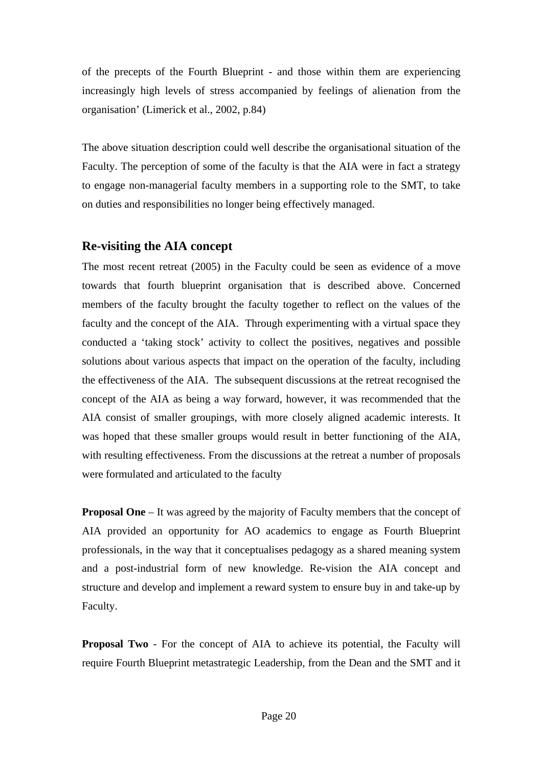of the precepts of the Fourth Blueprint - and those within them are experiencing increasingly high levels of stress accompanied by feelings of alienation from the organisation' (Limerick et al., 2002, p.84)

The above situation description could well describe the organisational situation of the Faculty. The perception of some of the faculty is that the AIA were in fact a strategy to engage non-managerial faculty members in a supporting role to the SMT, to take on duties and responsibilities no longer being effectively managed.

## **Re-visiting the AIA concept**

The most recent retreat (2005) in the Faculty could be seen as evidence of a move towards that fourth blueprint organisation that is described above. Concerned members of the faculty brought the faculty together to reflect on the values of the faculty and the concept of the AIA. Through experimenting with a virtual space they conducted a 'taking stock' activity to collect the positives, negatives and possible solutions about various aspects that impact on the operation of the faculty, including the effectiveness of the AIA. The subsequent discussions at the retreat recognised the concept of the AIA as being a way forward, however, it was recommended that the AIA consist of smaller groupings, with more closely aligned academic interests. It was hoped that these smaller groups would result in better functioning of the AIA, with resulting effectiveness. From the discussions at the retreat a number of proposals were formulated and articulated to the faculty

**Proposal One** – It was agreed by the majority of Faculty members that the concept of AIA provided an opportunity for AO academics to engage as Fourth Blueprint professionals, in the way that it conceptualises pedagogy as a shared meaning system and a post-industrial form of new knowledge. Re-vision the AIA concept and structure and develop and implement a reward system to ensure buy in and take-up by Faculty.

**Proposal Two** - For the concept of AIA to achieve its potential, the Faculty will require Fourth Blueprint metastrategic Leadership, from the Dean and the SMT and it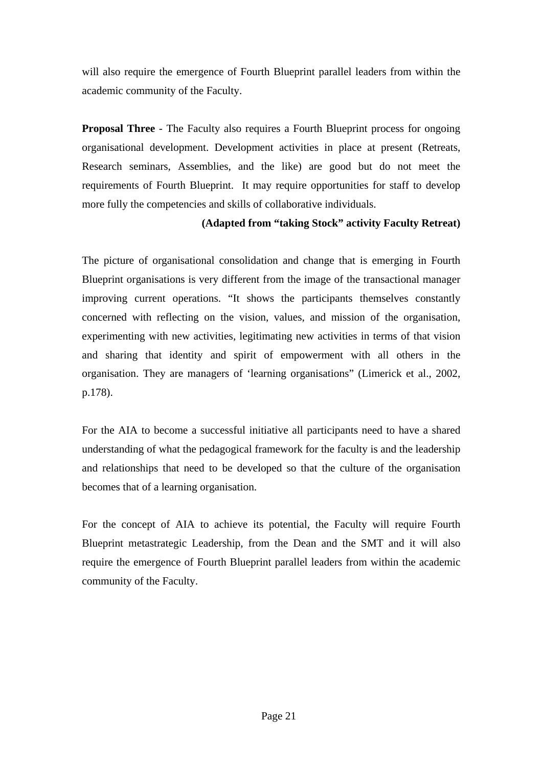will also require the emergence of Fourth Blueprint parallel leaders from within the academic community of the Faculty.

**Proposal Three** - The Faculty also requires a Fourth Blueprint process for ongoing organisational development. Development activities in place at present (Retreats, Research seminars, Assemblies, and the like) are good but do not meet the requirements of Fourth Blueprint. It may require opportunities for staff to develop more fully the competencies and skills of collaborative individuals.

## **(Adapted from "taking Stock" activity Faculty Retreat)**

The picture of organisational consolidation and change that is emerging in Fourth Blueprint organisations is very different from the image of the transactional manager improving current operations. "It shows the participants themselves constantly concerned with reflecting on the vision, values, and mission of the organisation, experimenting with new activities, legitimating new activities in terms of that vision and sharing that identity and spirit of empowerment with all others in the organisation. They are managers of 'learning organisations" (Limerick et al., 2002, p.178).

For the AIA to become a successful initiative all participants need to have a shared understanding of what the pedagogical framework for the faculty is and the leadership and relationships that need to be developed so that the culture of the organisation becomes that of a learning organisation.

For the concept of AIA to achieve its potential, the Faculty will require Fourth Blueprint metastrategic Leadership, from the Dean and the SMT and it will also require the emergence of Fourth Blueprint parallel leaders from within the academic community of the Faculty.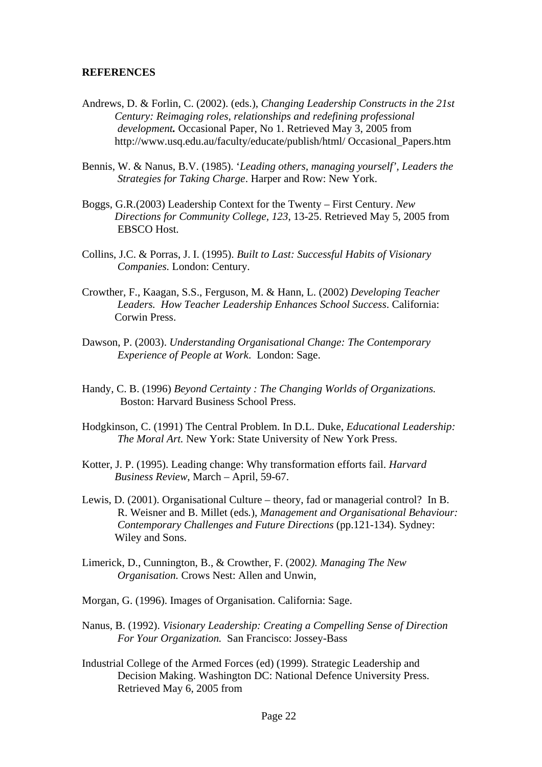#### **REFERENCES**

- Andrews, D. & Forlin, C. (2002). (eds.), *Changing Leadership Constructs in the 21st Century: Reimaging roles, relationships and redefining professional development.* Occasional Paper, No 1. Retrieved May 3, 2005 from http://www.usq.edu.au/faculty/educate/publish/html/ Occasional\_Papers.htm
- Bennis, W. & Nanus, B.V. (1985). '*Leading others, managing yourself', Leaders the Strategies for Taking Charge*. Harper and Row: New York.
- Boggs, G.R.(2003) Leadership Context for the Twenty First Century. *New Directions for Community College, 123*, 13-25. Retrieved May 5, 2005 from EBSCO Host.
- Collins, J.C. & Porras, J. I. (1995). *Built to Last: Successful Habits of Visionary Companies.* London: Century.
- Crowther, F., Kaagan, S.S., Ferguson, M. & Hann, L. (2002) *Developing Teacher Leaders. How Teacher Leadership Enhances School Success*. California: Corwin Press.
- Dawson, P. (2003). *Understanding Organisational Change: The Contemporary Experience of People at Work*. London: Sage.
- Handy, C. B. (1996) *Beyond Certainty : The Changing Worlds of Organizations.*  Boston: Harvard Business School Press.
- Hodgkinson, C. (1991) The Central Problem. In D.L. Duke, *Educational Leadership: The Moral Art.* New York: State University of New York Press.
- Kotter, J. P. (1995). Leading change: Why transformation efforts fail. *Harvard Business Review*, March – April, 59-67.
- Lewis, D. (2001). Organisational Culture theory, fad or managerial control? In B. R. Weisner and B. Millet (eds*.*), *Management and Organisational Behaviour: Contemporary Challenges and Future Directions* (pp.121-134). Sydney: Wiley and Sons.
- Limerick, D., Cunnington, B., & Crowther, F. (2002*). Managing The New Organisation.* Crows Nest: Allen and Unwin,
- Morgan, G. (1996). Images of Organisation. California: Sage.
- Nanus, B. (1992). *Visionary Leadership: Creating a Compelling Sense of Direction For Your Organization.* San Francisco: Jossey-Bass
- Industrial College of the Armed Forces (ed) (1999). Strategic Leadership and Decision Making. Washington DC: National Defence University Press. Retrieved May 6, 2005 from